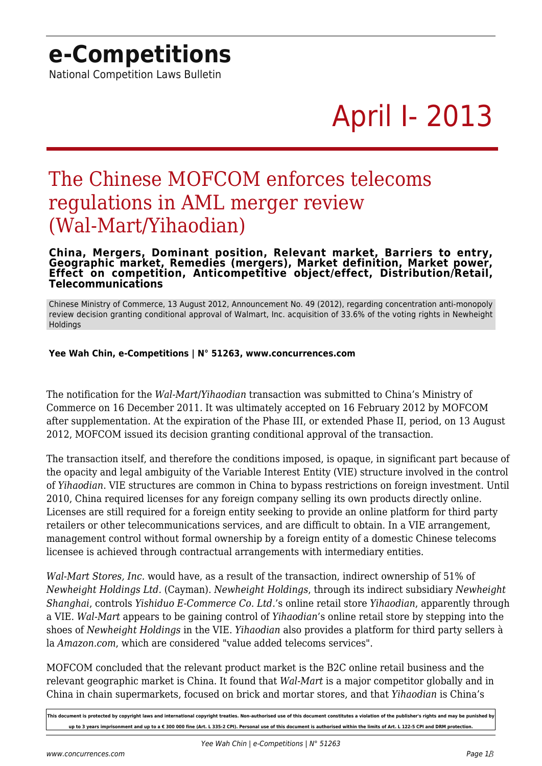## **e-Competitions**

National Competition Laws Bulletin

# April I- 2013

### The Chinese MOFCOM enforces telecoms regulations in AML merger review (Wal-Mart/Yihaodian)

#### **China, Mergers, Dominant position, Relevant market, Barriers to entry, Geographic market, Remedies (mergers), Market definition, Market power, Effect on competition, Anticompetitive object/effect, Distribution/Retail, Telecommunications**

Chinese Ministry of Commerce, 13 August 2012, Announcement No. 49 (2012), regarding concentration anti-monopoly review decision granting conditional approval of Walmart, Inc. acquisition of 33.6% of the voting rights in Newheight Holdings

### **Yee Wah Chin, e-Competitions | N° 51263, www.concurrences.com**

The notification for the *Wal-Mart*/*Yihaodian* transaction was submitted to China's Ministry of Commerce on 16 December 2011. It was ultimately accepted on 16 February 2012 by MOFCOM after supplementation. At the expiration of the Phase III, or extended Phase II, period, on 13 August 2012, MOFCOM issued its decision granting conditional approval of the transaction.

The transaction itself, and therefore the conditions imposed, is opaque, in significant part because of the opacity and legal ambiguity of the Variable Interest Entity (VIE) structure involved in the control of *Yihaodian*. VIE structures are common in China to bypass restrictions on foreign investment. Until 2010, China required licenses for any foreign company selling its own products directly online. Licenses are still required for a foreign entity seeking to provide an online platform for third party retailers or other telecommunications services, and are difficult to obtain. In a VIE arrangement, management control without formal ownership by a foreign entity of a domestic Chinese telecoms licensee is achieved through contractual arrangements with intermediary entities.

*Wal-Mart Stores, Inc.* would have, as a result of the transaction, indirect ownership of 51% of *Newheight Holdings Ltd.* (Cayman). *Newheight Holdings*, through its indirect subsidiary *Newheight Shanghai*, controls *Yishiduo E-Commerce Co. Ltd.*'s online retail store *Yihaodian*, apparently through a VIE. *Wal-Mart* appears to be gaining control of *Yihaodian*'s online retail store by stepping into the shoes of *Newheight Holdings* in the VIE. *Yihaodian* also provides a platform for third party sellers à la *Amazon.com*, which are considered "value added telecoms services".

MOFCOM concluded that the relevant product market is the B2C online retail business and the relevant geographic market is China. It found that *Wal-Mart* is a major competitor globally and in China in chain supermarkets, focused on brick and mortar stores, and that *Yihaodian* is China's

**This document is protected by copyright laws and international copyright treaties. Non-authorised use of this document constitutes a violation of the publisher's rights and may be punished by** up to 3 years imprisonment and up to a € 300 000 fine (Art. L 335-2 CPI). Personal use of this document is authorised within the limits of Art. L 122-5 CPI and DRM protection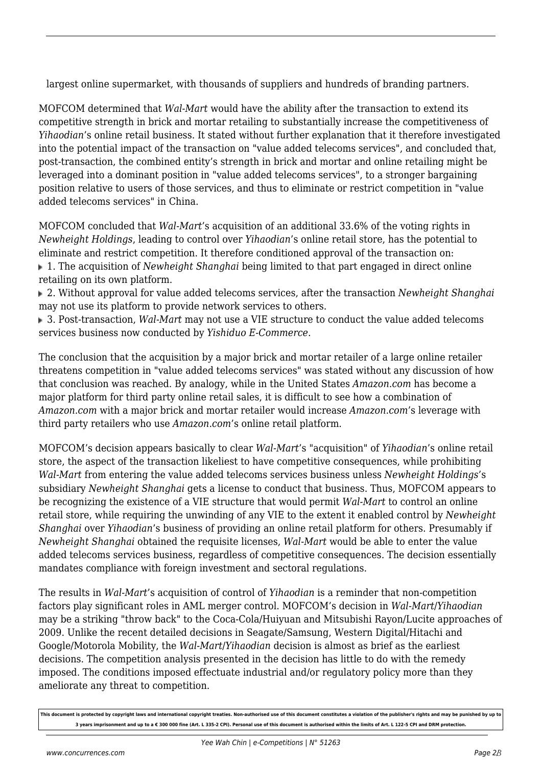largest online supermarket, with thousands of suppliers and hundreds of branding partners.

MOFCOM determined that *Wal-Mart* would have the ability after the transaction to extend its competitive strength in brick and mortar retailing to substantially increase the competitiveness of *Yihaodian*'s online retail business. It stated without further explanation that it therefore investigated into the potential impact of the transaction on "value added telecoms services", and concluded that, post-transaction, the combined entity's strength in brick and mortar and online retailing might be leveraged into a dominant position in "value added telecoms services", to a stronger bargaining position relative to users of those services, and thus to eliminate or restrict competition in "value added telecoms services" in China.

MOFCOM concluded that *Wal-Mart*'s acquisition of an additional 33.6% of the voting rights in *Newheight Holdings*, leading to control over *Yihaodian*'s online retail store, has the potential to eliminate and restrict competition. It therefore conditioned approval of the transaction on: 1. The acquisition of *Newheight Shanghai* being limited to that part engaged in direct online retailing on its own platform.

 2. Without approval for value added telecoms services, after the transaction *Newheight Shanghai* may not use its platform to provide network services to others.

 3. Post-transaction, *Wal-Mart* may not use a VIE structure to conduct the value added telecoms services business now conducted by *Yishiduo E-Commerce*.

The conclusion that the acquisition by a major brick and mortar retailer of a large online retailer threatens competition in "value added telecoms services" was stated without any discussion of how that conclusion was reached. By analogy, while in the United States *Amazon.com* has become a major platform for third party online retail sales, it is difficult to see how a combination of *Amazon.com* with a major brick and mortar retailer would increase *Amazon.com*'s leverage with third party retailers who use *Amazon.com*'s online retail platform.

MOFCOM's decision appears basically to clear *Wal-Mart*'s "acquisition" of *Yihaodian*'s online retail store, the aspect of the transaction likeliest to have competitive consequences, while prohibiting *Wal-Mart* from entering the value added telecoms services business unless *Newheight Holdings*'s subsidiary *Newheight Shanghai* gets a license to conduct that business. Thus, MOFCOM appears to be recognizing the existence of a VIE structure that would permit *Wal-Mart* to control an online retail store, while requiring the unwinding of any VIE to the extent it enabled control by *Newheight Shanghai* over *Yihaodian*'s business of providing an online retail platform for others. Presumably if *Newheight Shanghai* obtained the requisite licenses, *Wal-Mart* would be able to enter the value added telecoms services business, regardless of competitive consequences. The decision essentially mandates compliance with foreign investment and sectoral regulations.

The results in *Wal-Mart*'s acquisition of control of *Yihaodian* is a reminder that non-competition factors play significant roles in AML merger control. MOFCOM's decision in *Wal-Mart*/*Yihaodian* may be a striking "throw back" to the Coca-Cola/Huiyuan and Mitsubishi Rayon/Lucite approaches of 2009. Unlike the recent detailed decisions in Seagate/Samsung, Western Digital/Hitachi and Google/Motorola Mobility, the *Wal-Mart*/*Yihaodian* decision is almost as brief as the earliest decisions. The competition analysis presented in the decision has little to do with the remedy imposed. The conditions imposed effectuate industrial and/or regulatory policy more than they ameliorate any threat to competition.

**This document is protected by copyright laws and international copyright treaties. Non-authorised use of this document constitutes a violation of the publisher's rights and may be punished by up to 3 years imprisonment and up to a € 300 000 fine (Art. L 335-2 CPI). Personal use of this document is authorised within the limits of Art. L 122-5 CPI and DRM protection.**